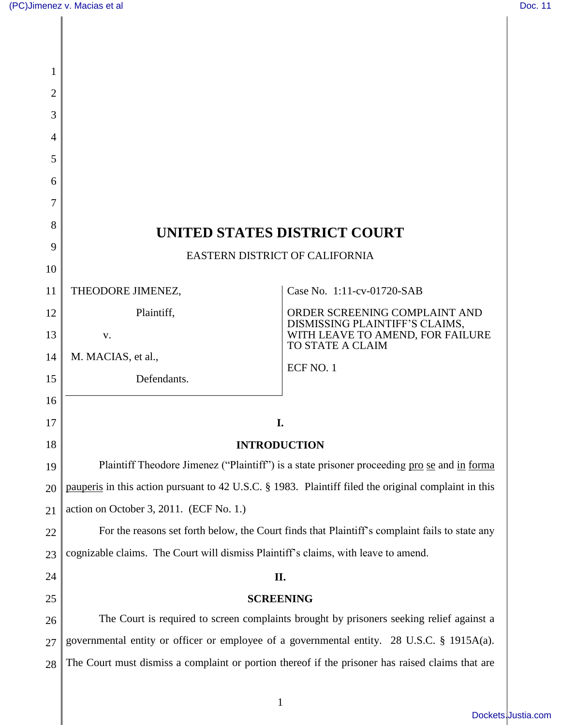| 1              |                                                                                                                                                                                        |                                                                 |
|----------------|----------------------------------------------------------------------------------------------------------------------------------------------------------------------------------------|-----------------------------------------------------------------|
| $\overline{2}$ |                                                                                                                                                                                        |                                                                 |
| 3              |                                                                                                                                                                                        |                                                                 |
| 4              |                                                                                                                                                                                        |                                                                 |
| 5              |                                                                                                                                                                                        |                                                                 |
| 6              |                                                                                                                                                                                        |                                                                 |
| 7              |                                                                                                                                                                                        |                                                                 |
| 8              | UNITED STATES DISTRICT COURT                                                                                                                                                           |                                                                 |
| 9              | EASTERN DISTRICT OF CALIFORNIA                                                                                                                                                         |                                                                 |
| 10             |                                                                                                                                                                                        |                                                                 |
| 11             | THEODORE JIMENEZ,                                                                                                                                                                      | Case No. 1:11-cv-01720-SAB                                      |
| 12             | Plaintiff,                                                                                                                                                                             | ORDER SCREENING COMPLAINT AND<br>DISMISSING PLAINTIFF'S CLAIMS, |
| 13             | V.                                                                                                                                                                                     | WITH LEAVE TO AMEND, FOR FAILURE<br>TO STATE A CLAIM            |
| 14             | M. MACIAS, et al.,                                                                                                                                                                     | ECF NO. 1                                                       |
| 15             | Defendants.                                                                                                                                                                            |                                                                 |
| 16             |                                                                                                                                                                                        |                                                                 |
| 17             | I.                                                                                                                                                                                     |                                                                 |
| 18             | <b>INTRODUCTION</b>                                                                                                                                                                    |                                                                 |
| 19             | Plaintiff Theodore Jimenez ("Plaintiff") is a state prisoner proceeding pro se and in forma                                                                                            |                                                                 |
| 20             | pauperis in this action pursuant to 42 U.S.C. § 1983. Plaintiff filed the original complaint in this                                                                                   |                                                                 |
| 21             | action on October 3, 2011. (ECF No. 1.)                                                                                                                                                |                                                                 |
| 22             | For the reasons set forth below, the Court finds that Plaintiff's complaint fails to state any                                                                                         |                                                                 |
| 23             | cognizable claims. The Court will dismiss Plaintiff's claims, with leave to amend.                                                                                                     |                                                                 |
| 24             | II.                                                                                                                                                                                    |                                                                 |
| 25             | <b>SCREENING</b>                                                                                                                                                                       |                                                                 |
| 26             | The Court is required to screen complaints brought by prisoners seeking relief against a<br>governmental entity or officer or employee of a governmental entity. 28 U.S.C. § 1915A(a). |                                                                 |
| 27             | The Court must dismiss a complaint or portion thereof if the prisoner has raised claims that are                                                                                       |                                                                 |
| 28             |                                                                                                                                                                                        |                                                                 |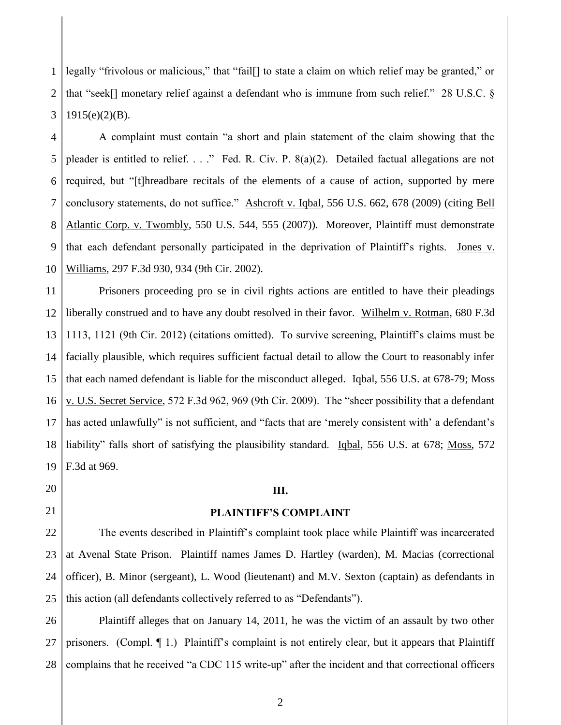1 2 3 legally "frivolous or malicious," that "fail[] to state a claim on which relief may be granted," or that "seek[] monetary relief against a defendant who is immune from such relief." 28 U.S.C. §  $1915(e)(2)(B)$ .

4 5 6 7 8 9 10 A complaint must contain "a short and plain statement of the claim showing that the pleader is entitled to relief. . . ." Fed. R. Civ. P. 8(a)(2). Detailed factual allegations are not required, but "[t]hreadbare recitals of the elements of a cause of action, supported by mere conclusory statements, do not suffice." Ashcroft v. Iqbal, 556 U.S. 662, 678 (2009) (citing Bell Atlantic Corp. v. Twombly, 550 U.S. 544, 555 (2007)). Moreover, Plaintiff must demonstrate that each defendant personally participated in the deprivation of Plaintiff's rights. Jones v. Williams, 297 F.3d 930, 934 (9th Cir. 2002).

11 12 13 14 15 16 17 18 19 Prisoners proceeding pro se in civil rights actions are entitled to have their pleadings liberally construed and to have any doubt resolved in their favor. Wilhelm v. Rotman, 680 F.3d 1113, 1121 (9th Cir. 2012) (citations omitted). To survive screening, Plaintiff's claims must be facially plausible, which requires sufficient factual detail to allow the Court to reasonably infer that each named defendant is liable for the misconduct alleged. Iqbal, 556 U.S. at 678-79; Moss v. U.S. Secret Service, 572 F.3d 962, 969 (9th Cir. 2009). The "sheer possibility that a defendant has acted unlawfully" is not sufficient, and "facts that are 'merely consistent with' a defendant's liability" falls short of satisfying the plausibility standard. Igbal, 556 U.S. at 678; Moss, 572 F.3d at 969.

20

21

# **III.**

#### **PLAINTIFF'S COMPLAINT**

22 23 24 25 The events described in Plaintiff's complaint took place while Plaintiff was incarcerated at Avenal State Prison. Plaintiff names James D. Hartley (warden), M. Macias (correctional officer), B. Minor (sergeant), L. Wood (lieutenant) and M.V. Sexton (captain) as defendants in this action (all defendants collectively referred to as "Defendants").

26 27 28 Plaintiff alleges that on January 14, 2011, he was the victim of an assault by two other prisoners. (Compl.  $\P$  1.) Plaintiff's complaint is not entirely clear, but it appears that Plaintiff complains that he received "a CDC 115 write-up" after the incident and that correctional officers

2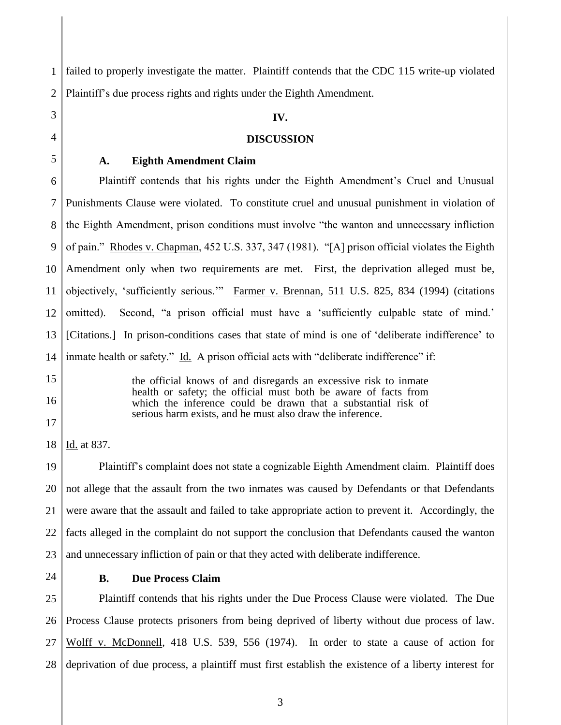1 2 failed to properly investigate the matter. Plaintiff contends that the CDC 115 write-up violated Plaintiff's due process rights and rights under the Eighth Amendment.

## **IV.**

#### **DISCUSSION**

3 4 5

### **A. Eighth Amendment Claim**

6 7 8 9 10 11 12 13 14 Plaintiff contends that his rights under the Eighth Amendment's Cruel and Unusual Punishments Clause were violated. To constitute cruel and unusual punishment in violation of the Eighth Amendment, prison conditions must involve "the wanton and unnecessary infliction of pain." Rhodes v. Chapman, 452 U.S. 337, 347 (1981). "[A] prison official violates the Eighth Amendment only when two requirements are met. First, the deprivation alleged must be, objectively, 'sufficiently serious.'" Farmer v. Brennan, 511 U.S. 825, 834 (1994) (citations omitted). Second, "a prison official must have a 'sufficiently culpable state of mind.' [Citations.] In prison-conditions cases that state of mind is one of 'deliberate indifference' to inmate health or safety." Id. A prison official acts with "deliberate indifference" if:

15 16

17

the official knows of and disregards an excessive risk to inmate health or safety; the official must both be aware of facts from which the inference could be drawn that a substantial risk of serious harm exists, and he must also draw the inference.

18 Id. at 837.

19 20 21 22 23 Plaintiff's complaint does not state a cognizable Eighth Amendment claim. Plaintiff does not allege that the assault from the two inmates was caused by Defendants or that Defendants were aware that the assault and failed to take appropriate action to prevent it. Accordingly, the facts alleged in the complaint do not support the conclusion that Defendants caused the wanton and unnecessary infliction of pain or that they acted with deliberate indifference.

24

### **B. Due Process Claim**

25 26 27 28 Plaintiff contends that his rights under the Due Process Clause were violated. The Due Process Clause protects prisoners from being deprived of liberty without due process of law. Wolff v. McDonnell, 418 U.S. 539, 556 (1974). In order to state a cause of action for deprivation of due process, a plaintiff must first establish the existence of a liberty interest for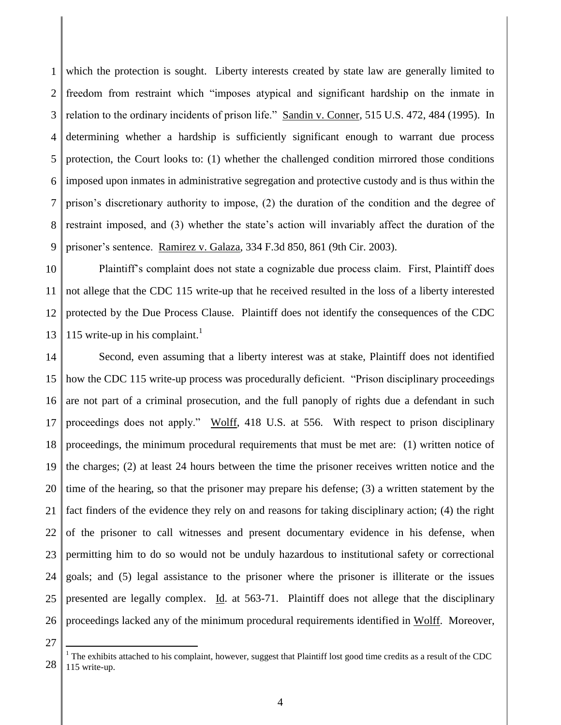1 2 3 4 5 6 7 8 9 which the protection is sought. Liberty interests created by state law are generally limited to freedom from restraint which "imposes atypical and significant hardship on the inmate in relation to the ordinary incidents of prison life." Sandin v. Conner, 515 U.S. 472, 484 (1995). In determining whether a hardship is sufficiently significant enough to warrant due process protection, the Court looks to: (1) whether the challenged condition mirrored those conditions imposed upon inmates in administrative segregation and protective custody and is thus within the prison's discretionary authority to impose, (2) the duration of the condition and the degree of restraint imposed, and (3) whether the state's action will invariably affect the duration of the prisoner's sentence. Ramirez v. Galaza, 334 F.3d 850, 861 (9th Cir. 2003).

10 11 12 13 Plaintiff's complaint does not state a cognizable due process claim. First, Plaintiff does not allege that the CDC 115 write-up that he received resulted in the loss of a liberty interested protected by the Due Process Clause. Plaintiff does not identify the consequences of the CDC 115 write-up in his complaint. 1

14 15 16 17 18 19 20 21 22 23 24 25 26 Second, even assuming that a liberty interest was at stake, Plaintiff does not identified how the CDC 115 write-up process was procedurally deficient. "Prison disciplinary proceedings are not part of a criminal prosecution, and the full panoply of rights due a defendant in such proceedings does not apply." Wolff, 418 U.S. at 556. With respect to prison disciplinary proceedings, the minimum procedural requirements that must be met are: (1) written notice of the charges; (2) at least 24 hours between the time the prisoner receives written notice and the time of the hearing, so that the prisoner may prepare his defense; (3) a written statement by the fact finders of the evidence they rely on and reasons for taking disciplinary action; (4) the right of the prisoner to call witnesses and present documentary evidence in his defense, when permitting him to do so would not be unduly hazardous to institutional safety or correctional goals; and (5) legal assistance to the prisoner where the prisoner is illiterate or the issues presented are legally complex. Id. at 563-71. Plaintiff does not allege that the disciplinary proceedings lacked any of the minimum procedural requirements identified in Wolff. Moreover,

27

 $\overline{a}$ 

28

 $<sup>1</sup>$  The exhibits attached to his complaint, however, suggest that Plaintiff lost good time credits as a result of the CDC</sup> 115 write-up.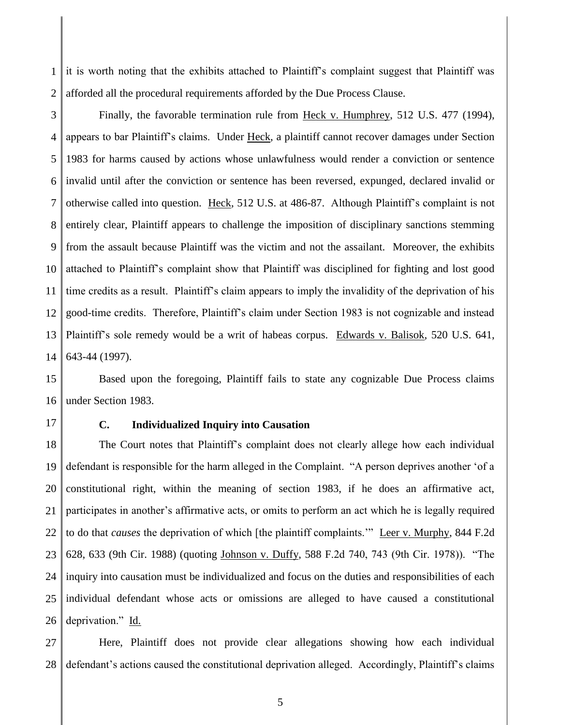1 2 it is worth noting that the exhibits attached to Plaintiff's complaint suggest that Plaintiff was afforded all the procedural requirements afforded by the Due Process Clause.

3 4 5 6 7 8 9 10 11 12 13 14 Finally, the favorable termination rule from Heck v. Humphrey, 512 U.S. 477 (1994), appears to bar Plaintiff's claims. Under Heck, a plaintiff cannot recover damages under Section 1983 for harms caused by actions whose unlawfulness would render a conviction or sentence invalid until after the conviction or sentence has been reversed, expunged, declared invalid or otherwise called into question. Heck, 512 U.S. at 486-87. Although Plaintiff's complaint is not entirely clear, Plaintiff appears to challenge the imposition of disciplinary sanctions stemming from the assault because Plaintiff was the victim and not the assailant. Moreover, the exhibits attached to Plaintiff's complaint show that Plaintiff was disciplined for fighting and lost good time credits as a result. Plaintiff's claim appears to imply the invalidity of the deprivation of his good-time credits. Therefore, Plaintiff's claim under Section 1983 is not cognizable and instead Plaintiff's sole remedy would be a writ of habeas corpus. Edwards v. Balisok, 520 U.S. 641, 643-44 (1997).

15 16 Based upon the foregoing, Plaintiff fails to state any cognizable Due Process claims under Section 1983.

17

# **C. Individualized Inquiry into Causation**

18 19 20 21 22 23 24 25 26 The Court notes that Plaintiff's complaint does not clearly allege how each individual defendant is responsible for the harm alleged in the Complaint. "A person deprives another 'of a constitutional right, within the meaning of section 1983, if he does an affirmative act, participates in another's affirmative acts, or omits to perform an act which he is legally required to do that *causes* the deprivation of which [the plaintiff complaints.'" Leer v. Murphy, 844 F.2d 628, 633 (9th Cir. 1988) (quoting Johnson v. Duffy, 588 F.2d 740, 743 (9th Cir. 1978)). "The inquiry into causation must be individualized and focus on the duties and responsibilities of each individual defendant whose acts or omissions are alleged to have caused a constitutional deprivation." Id.

27 28 Here, Plaintiff does not provide clear allegations showing how each individual defendant's actions caused the constitutional deprivation alleged. Accordingly, Plaintiff's claims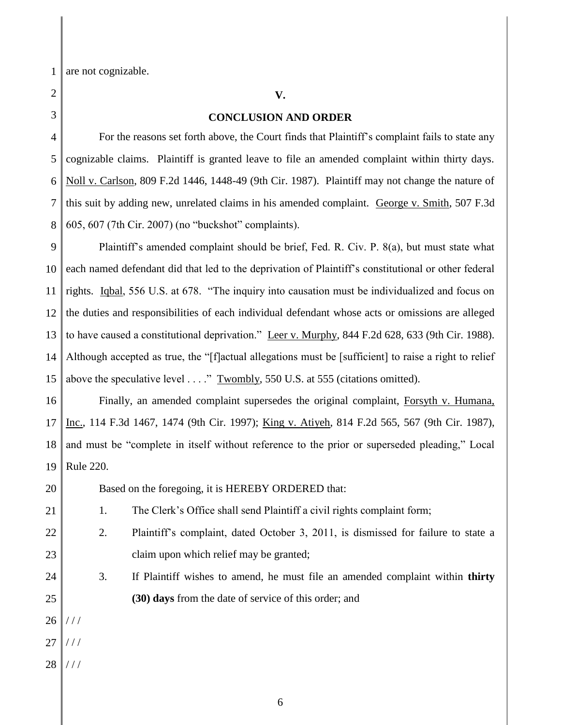1 are not cognizable.

22 23 24 **V.**

# **CONCLUSION AND ORDER**

For the reasons set forth above, the Court finds that Plaintiff's complaint fails to state any cognizable claims. Plaintiff is granted leave to file an amended complaint within thirty days. Noll v. Carlson, 809 F.2d 1446, 1448-49 (9th Cir. 1987). Plaintiff may not change the nature of this suit by adding new, unrelated claims in his amended complaint. George v. Smith, 507 F.3d 605, 607 (7th Cir. 2007) (no "buckshot" complaints).

9 10 14 Plaintiff's amended complaint should be brief, Fed. R. Civ. P. 8(a), but must state what each named defendant did that led to the deprivation of Plaintiff's constitutional or other federal rights. Iqbal, 556 U.S. at 678. "The inquiry into causation must be individualized and focus on the duties and responsibilities of each individual defendant whose acts or omissions are alleged to have caused a constitutional deprivation." Leer v. Murphy, 844 F.2d 628, 633 (9th Cir. 1988). Although accepted as true, the "[f]actual allegations must be [sufficient] to raise a right to relief above the speculative level . . . ." Twombly, 550 U.S. at 555 (citations omitted).

16 17 18 19 Finally, an amended complaint supersedes the original complaint, Forsyth v. Humana, Inc., 114 F.3d 1467, 1474 (9th Cir. 1997); King v. Atiyeh, 814 F.2d 565, 567 (9th Cir. 1987), and must be "complete in itself without reference to the prior or superseded pleading," Local Rule 220.

Based on the foregoing, it is HEREBY ORDERED that:

1. The Clerk's Office shall send Plaintiff a civil rights complaint form;

- 2. Plaintiff's complaint, dated October 3, 2011, is dismissed for failure to state a claim upon which relief may be granted;
	- 3. If Plaintiff wishes to amend, he must file an amended complaint within **thirty (30) days** from the date of service of this order; and
- 26  $//$

25

- 27  $111$
- 28 / / /